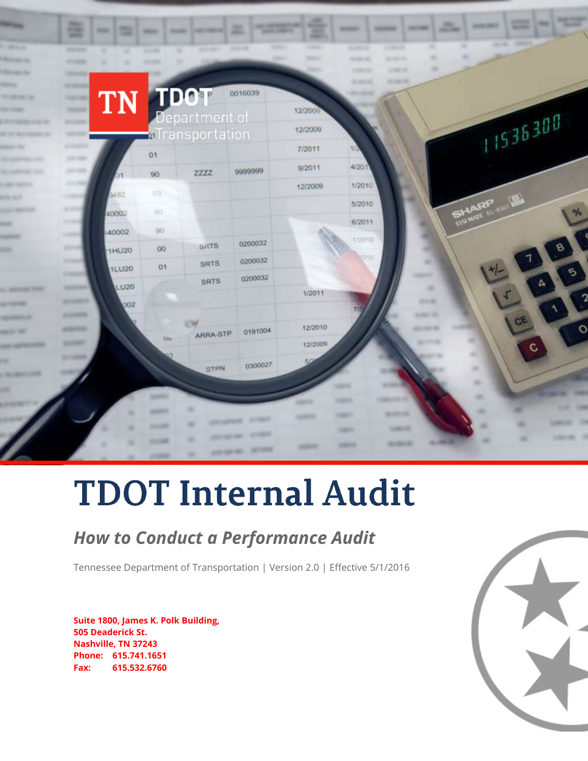

# **TDOT Internal Audit**

### *How to Conduct a Performance Audit*

Tennessee Department of Transportation | Version 2.0 | Effective 5/1/2016

**Suite 1800, James K. Polk Building, 505 Deaderick St. Nashville, TN 37243 Phone: 615.741.1651 Fax: 615.532.6760**

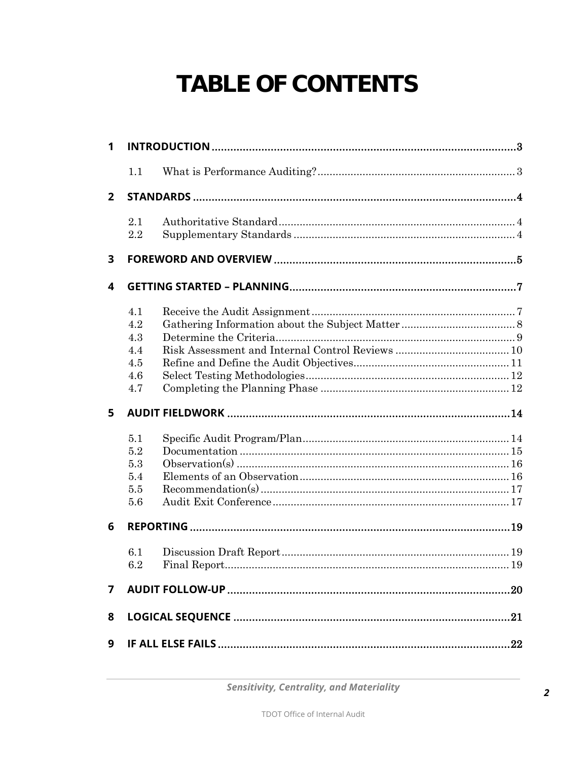## TABLE OF CONTENTS

| 1              |                                               |  |  |  |  |
|----------------|-----------------------------------------------|--|--|--|--|
|                | 1.1                                           |  |  |  |  |
| $\overline{2}$ |                                               |  |  |  |  |
|                | 2.1<br>$2.2\,$                                |  |  |  |  |
| 3              |                                               |  |  |  |  |
| 4              |                                               |  |  |  |  |
|                | 4.1<br>4.2<br>4.3<br>4.4<br>4.5<br>4.6<br>4.7 |  |  |  |  |
| 5              |                                               |  |  |  |  |
|                | 5.1<br>5.2<br>5.3<br>5.4<br>5.5<br>5.6        |  |  |  |  |
| 6              |                                               |  |  |  |  |
|                |                                               |  |  |  |  |
|                | 6.1<br>6.2                                    |  |  |  |  |
| 7              |                                               |  |  |  |  |
| 8              |                                               |  |  |  |  |

**Sensitivity, Centrality, and Materiality**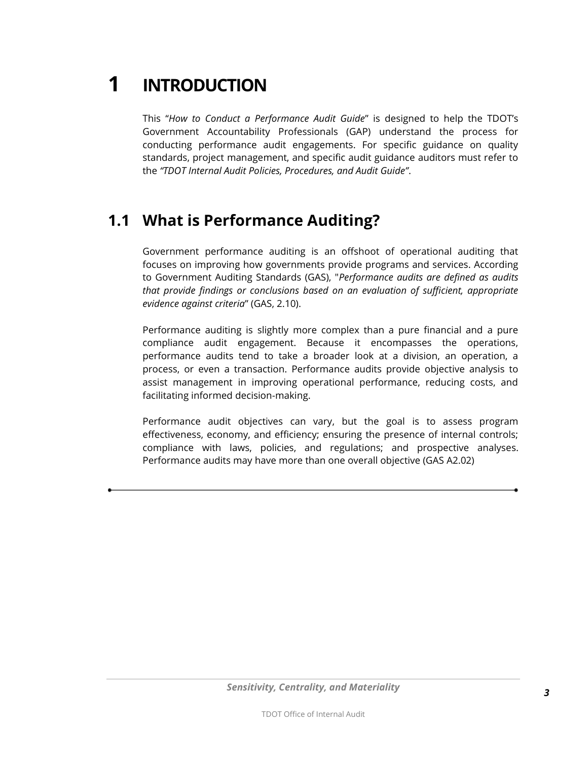<span id="page-2-0"></span>**1 INTRODUCTION**

This "*How to Conduct a Performance Audit Guide*" is designed to help the TDOT's Government Accountability Professionals (GAP) understand the process for conducting performance audit engagements. For specific guidance on quality standards, project management, and specific audit guidance auditors must refer to the *"TDOT Internal Audit Policies, Procedures, and Audit Guide"*.

### <span id="page-2-1"></span>**1.1 What is Performance Auditing?**

Government performance auditing is an offshoot of operational auditing that focuses on improving how governments provide programs and services. According to Government Auditing Standards (GAS), "*Performance audits are defined as audits that provide findings or conclusions based on an evaluation of sufficient, appropriate evidence against criteria*" (GAS, 2.10).

Performance auditing is slightly more complex than a pure financial and a pure compliance audit engagement. Because it encompasses the operations, performance audits tend to take a broader look at a division, an operation, a process, or even a transaction. Performance audits provide objective analysis to assist management in improving operational performance, reducing costs, and facilitating informed decision-making.

Performance audit objectives can vary, but the goal is to assess program effectiveness, economy, and efficiency; ensuring the presence of internal controls; compliance with laws, policies, and regulations; and prospective analyses. Performance audits may have more than one overall objective (GAS A2.02)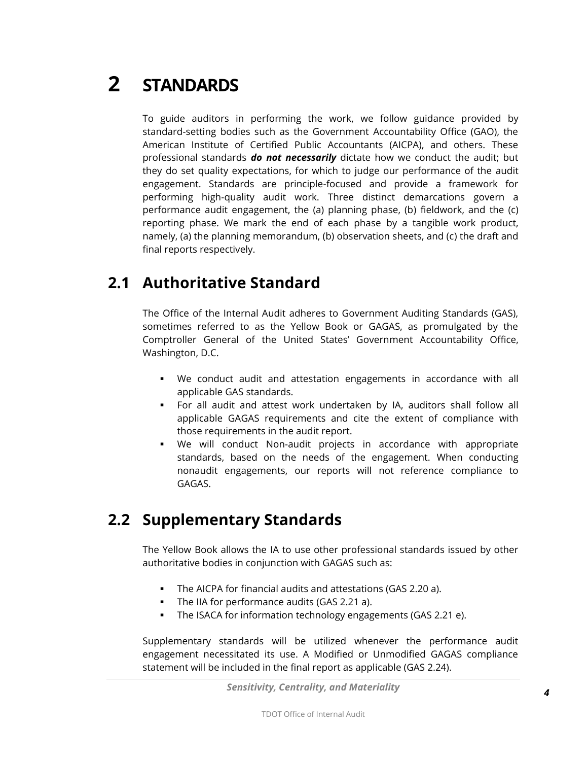<span id="page-3-0"></span>**2 STANDARDS**

To guide auditors in performing the work, we follow guidance provided by standard-setting bodies such as the Government Accountability Office (GAO), the American Institute of Certified Public Accountants (AICPA), and others. These professional standards *do not necessarily* dictate how we conduct the audit; but they do set quality expectations, for which to judge our performance of the audit engagement. Standards are principle-focused and provide a framework for performing high-quality audit work. Three distinct demarcations govern a performance audit engagement, the (a) planning phase, (b) fieldwork, and the (c) reporting phase. We mark the end of each phase by a tangible work product, namely, (a) the planning memorandum, (b) observation sheets, and (c) the draft and final reports respectively.

### <span id="page-3-1"></span>**2.1 Authoritative Standard**

The Office of the Internal Audit adheres to Government Auditing Standards (GAS), sometimes referred to as the Yellow Book or GAGAS, as promulgated by the Comptroller General of the United States' Government Accountability Office, Washington, D.C.

- We conduct audit and attestation engagements in accordance with all applicable GAS standards.
- For all audit and attest work undertaken by IA, auditors shall follow all applicable GAGAS requirements and cite the extent of compliance with those requirements in the audit report.
- We will conduct Non-audit projects in accordance with appropriate standards, based on the needs of the engagement. When conducting nonaudit engagements, our reports will not reference compliance to GAGAS.

### <span id="page-3-2"></span>**2.2 Supplementary Standards**

The Yellow Book allows the IA to use other professional standards issued by other authoritative bodies in conjunction with GAGAS such as:

- The AICPA for financial audits and attestations (GAS 2.20 a).
- The IIA for performance audits (GAS 2.21 a).
- The ISACA for information technology engagements (GAS 2.21 e).

Supplementary standards will be utilized whenever the performance audit engagement necessitated its use. A Modified or Unmodified GAGAS compliance statement will be included in the final report as applicable (GAS 2.24).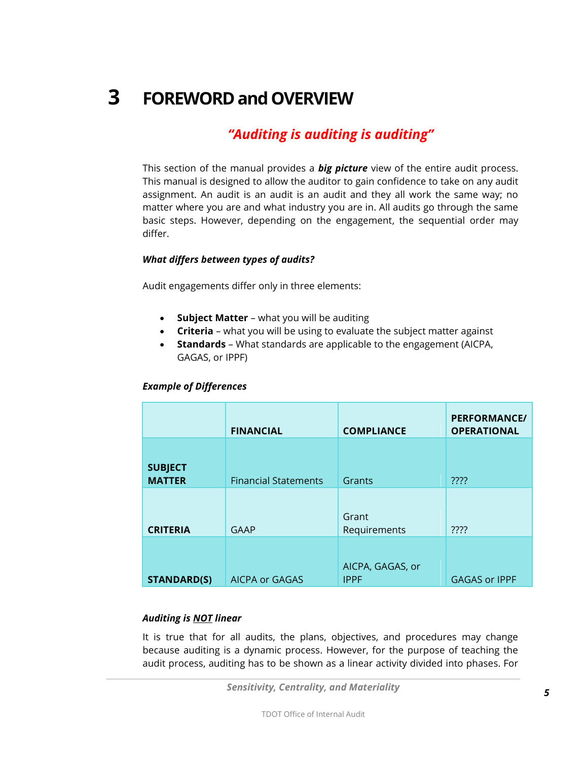### <span id="page-4-0"></span>**3 FOREWORD and OVERVIEW**

### *"Auditing is auditing is auditing"*

This section of the manual provides a *big picture* view of the entire audit process. This manual is designed to allow the auditor to gain confidence to take on any audit assignment. An audit is an audit is an audit and they all work the same way; no matter where you are and what industry you are in. All audits go through the same basic steps. However, depending on the engagement, the sequential order may differ.

#### *What differs between types of audits?*

Audit engagements differ only in three elements:

- **Subject Matter** what you will be auditing
- **Criteria** what you will be using to evaluate the subject matter against
- **Standards** What standards are applicable to the engagement (AICPA, GAGAS, or IPPF)

#### *Example of Differences*

|                                 | <b>FINANCIAL</b>            | <b>COMPLIANCE</b>               | <b>PERFORMANCE/</b><br><b>OPERATIONAL</b> |
|---------------------------------|-----------------------------|---------------------------------|-------------------------------------------|
| <b>SUBJECT</b><br><b>MATTER</b> | <b>Financial Statements</b> | Grants                          | ????                                      |
| <b>CRITERIA</b>                 | <b>GAAP</b>                 | Grant<br>Requirements           | ????                                      |
| <b>STANDARD(S)</b>              | <b>AICPA or GAGAS</b>       | AICPA, GAGAS, or<br><b>IPPF</b> | <b>GAGAS or IPPF</b>                      |

#### *Auditing is NOT linear*

It is true that for all audits, the plans, objectives, and procedures may change because auditing is a dynamic process. However, for the purpose of teaching the audit process, auditing has to be shown as a linear activity divided into phases. For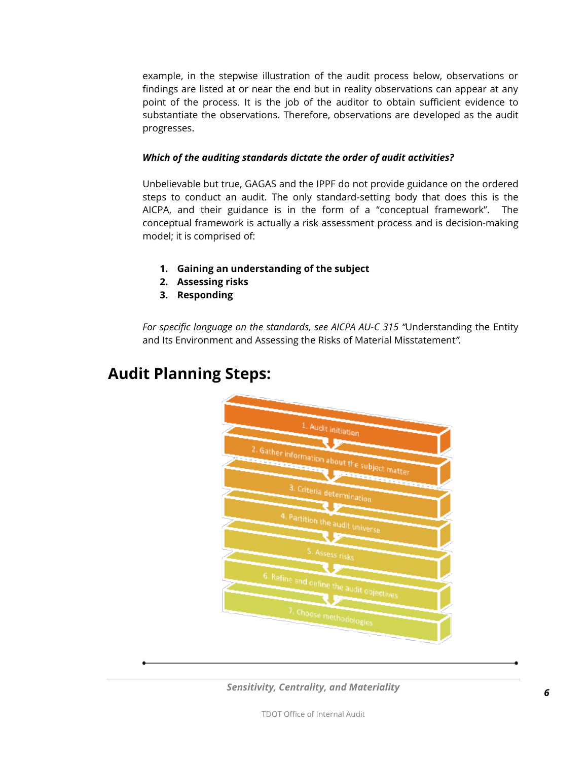example, in the stepwise illustration of the audit process below, observations or findings are listed at or near the end but in reality observations can appear at any point of the process. It is the job of the auditor to obtain sufficient evidence to substantiate the observations. Therefore, observations are developed as the audit progresses.

#### *Which of the auditing standards dictate the order of audit activities?*

Unbelievable but true, GAGAS and the IPPF do not provide guidance on the ordered steps to conduct an audit. The only standard-setting body that does this is the AICPA, and their guidance is in the form of a "conceptual framework". The conceptual framework is actually a risk assessment process and is decision-making model; it is comprised of:

- **1. Gaining an understanding of the subject**
- **2. Assessing risks**
- **3. Responding**

*For specific language on the standards, see AICPA AU-C 315 "*Understanding the Entity and Its Environment and Assessing the Risks of Material Misstatement*".*



### **Audit Planning Steps:**

*Sensitivity, Centrality, and Materiality*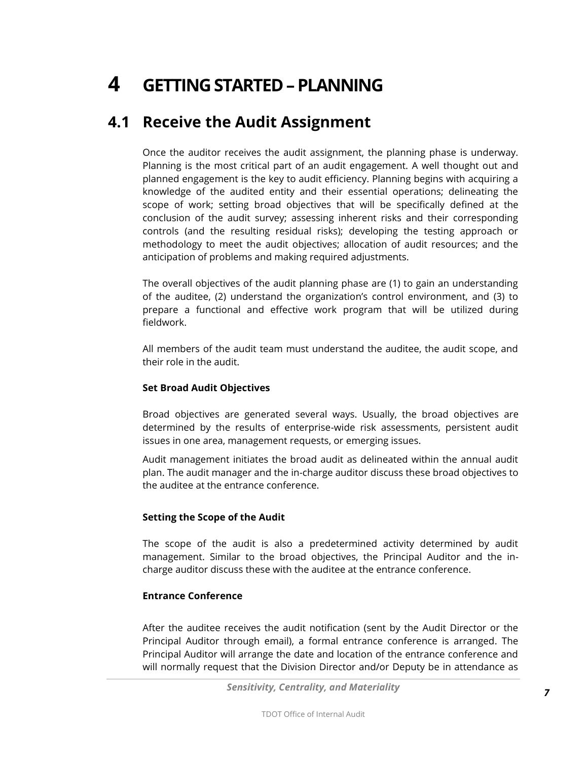## <span id="page-6-0"></span>**4 GETTING STARTED –PLANNING**

### <span id="page-6-1"></span>**4.1 Receive the Audit Assignment**

Once the auditor receives the audit assignment, the planning phase is underway. Planning is the most critical part of an audit engagement. A well thought out and planned engagement is the key to audit efficiency. Planning begins with acquiring a knowledge of the audited entity and their essential operations; delineating the scope of work; setting broad objectives that will be specifically defined at the conclusion of the audit survey; assessing inherent risks and their corresponding controls (and the resulting residual risks); developing the testing approach or methodology to meet the audit objectives; allocation of audit resources; and the anticipation of problems and making required adjustments.

The overall objectives of the audit planning phase are (1) to gain an understanding of the auditee, (2) understand the organization's control environment, and (3) to prepare a functional and effective work program that will be utilized during fieldwork.

All members of the audit team must understand the auditee, the audit scope, and their role in the audit.

#### **Set Broad Audit Objectives**

Broad objectives are generated several ways. Usually, the broad objectives are determined by the results of enterprise-wide risk assessments, persistent audit issues in one area, management requests, or emerging issues.

Audit management initiates the broad audit as delineated within the annual audit plan. The audit manager and the in-charge auditor discuss these broad objectives to the auditee at the entrance conference.

#### **Setting the Scope of the Audit**

The scope of the audit is also a predetermined activity determined by audit management. Similar to the broad objectives, the Principal Auditor and the incharge auditor discuss these with the auditee at the entrance conference.

#### **Entrance Conference**

After the auditee receives the audit notification (sent by the Audit Director or the Principal Auditor through email), a formal entrance conference is arranged. The Principal Auditor will arrange the date and location of the entrance conference and will normally request that the Division Director and/or Deputy be in attendance as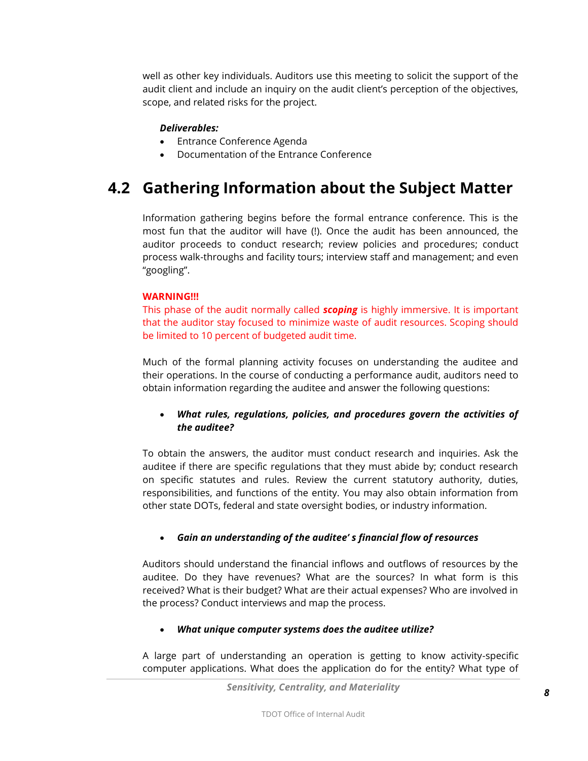well as other key individuals. Auditors use this meeting to solicit the support of the audit client and include an inquiry on the audit client's perception of the objectives, scope, and related risks for the project.

#### *Deliverables:*

- Entrance Conference Agenda
- Documentation of the Entrance Conference

### <span id="page-7-0"></span>**4.2 Gathering Information about the Subject Matter**

Information gathering begins before the formal entrance conference. This is the most fun that the auditor will have (!). Once the audit has been announced, the auditor proceeds to conduct research; review policies and procedures; conduct process walk-throughs and facility tours; interview staff and management; and even "googling".

### **WARNING!!!**

This phase of the audit normally called *scoping* is highly immersive. It is important that the auditor stay focused to minimize waste of audit resources. Scoping should be limited to 10 percent of budgeted audit time.

Much of the formal planning activity focuses on understanding the auditee and their operations. In the course of conducting a performance audit, auditors need to obtain information regarding the auditee and answer the following questions:

### *What rules, regulations, policies, and procedures govern the activities of the auditee?*

To obtain the answers, the auditor must conduct research and inquiries. Ask the auditee if there are specific regulations that they must abide by; conduct research on specific statutes and rules. Review the current statutory authority, duties, responsibilities, and functions of the entity. You may also obtain information from other state DOTs, federal and state oversight bodies, or industry information.

### *Gain an understanding of the auditee' s financial flow of resources*

Auditors should understand the financial inflows and outflows of resources by the auditee. Do they have revenues? What are the sources? In what form is this received? What is their budget? What are their actual expenses? Who are involved in the process? Conduct interviews and map the process.

### *What unique computer systems does the auditee utilize?*

A large part of understanding an operation is getting to know activity-specific computer applications. What does the application do for the entity? What type of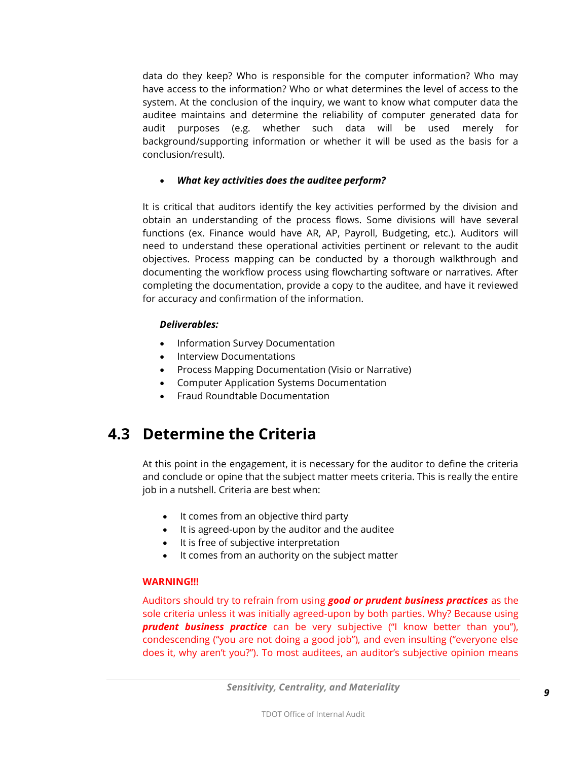data do they keep? Who is responsible for the computer information? Who may have access to the information? Who or what determines the level of access to the system. At the conclusion of the inquiry, we want to know what computer data the auditee maintains and determine the reliability of computer generated data for audit purposes (e.g. whether such data will be used merely for background/supporting information or whether it will be used as the basis for a conclusion/result).

#### *What key activities does the auditee perform?*

It is critical that auditors identify the key activities performed by the division and obtain an understanding of the process flows. Some divisions will have several functions (ex. Finance would have AR, AP, Payroll, Budgeting, etc.). Auditors will need to understand these operational activities pertinent or relevant to the audit objectives. Process mapping can be conducted by a thorough walkthrough and documenting the workflow process using flowcharting software or narratives. After completing the documentation, provide a copy to the auditee, and have it reviewed for accuracy and confirmation of the information.

### *Deliverables:*

- Information Survey Documentation
- Interview Documentations
- Process Mapping Documentation (Visio or Narrative)
- Computer Application Systems Documentation
- Fraud Roundtable Documentation

### <span id="page-8-0"></span>**4.3 Determine the Criteria**

At this point in the engagement, it is necessary for the auditor to define the criteria and conclude or opine that the subject matter meets criteria. This is really the entire job in a nutshell. Criteria are best when:

- It comes from an objective third party
- It is agreed-upon by the auditor and the auditee
- It is free of subjective interpretation
- It comes from an authority on the subject matter

### **WARNING!!!**

Auditors should try to refrain from using *good or prudent business practices* as the sole criteria unless it was initially agreed-upon by both parties. Why? Because using *prudent business practice* can be very subjective ("I know better than you"), condescending ("you are not doing a good job"), and even insulting ("everyone else does it, why aren't you?"). To most auditees, an auditor's subjective opinion means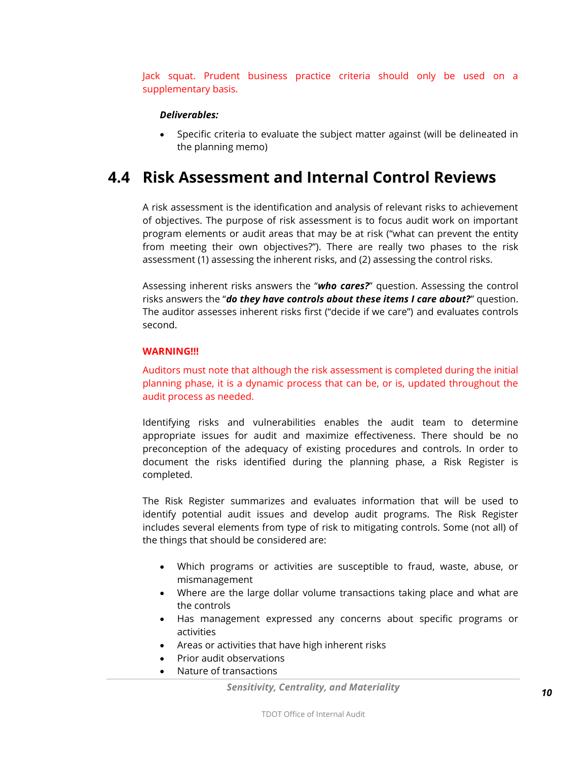Jack squat. Prudent business practice criteria should only be used on a supplementary basis.

#### *Deliverables:*

 Specific criteria to evaluate the subject matter against (will be delineated in the planning memo)

### <span id="page-9-0"></span>**4.4 Risk Assessment and Internal Control Reviews**

A risk assessment is the identification and analysis of relevant risks to achievement of objectives. The purpose of risk assessment is to focus audit work on important program elements or audit areas that may be at risk ("what can prevent the entity from meeting their own objectives?"). There are really two phases to the risk assessment (1) assessing the inherent risks, and (2) assessing the control risks.

Assessing inherent risks answers the "*who cares?*" question. Assessing the control risks answers the "*do they have controls about these items I care about?*" question. The auditor assesses inherent risks first ("decide if we care") and evaluates controls second.

#### **WARNING!!!**

Auditors must note that although the risk assessment is completed during the initial planning phase, it is a dynamic process that can be, or is, updated throughout the audit process as needed.

Identifying risks and vulnerabilities enables the audit team to determine appropriate issues for audit and maximize effectiveness. There should be no preconception of the adequacy of existing procedures and controls. In order to document the risks identified during the planning phase, a Risk Register is completed.

The Risk Register summarizes and evaluates information that will be used to identify potential audit issues and develop audit programs. The Risk Register includes several elements from type of risk to mitigating controls. Some (not all) of the things that should be considered are:

- Which programs or activities are susceptible to fraud, waste, abuse, or mismanagement
- Where are the large dollar volume transactions taking place and what are the controls
- Has management expressed any concerns about specific programs or activities
- Areas or activities that have high inherent risks
- Prior audit observations
- Nature of transactions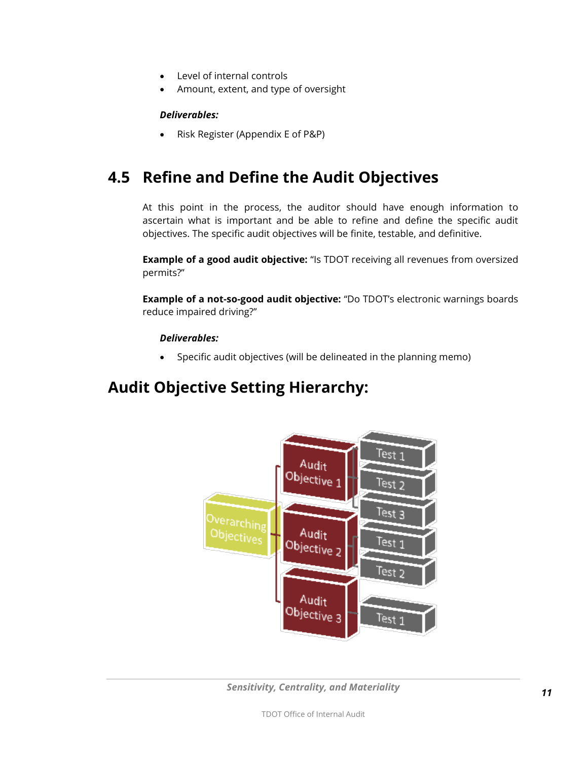- Level of internal controls
- Amount, extent, and type of oversight

#### *Deliverables:*

Risk Register (Appendix E of P&P)

### <span id="page-10-0"></span>**4.5 Refine and Define the Audit Objectives**

At this point in the process, the auditor should have enough information to ascertain what is important and be able to refine and define the specific audit objectives. The specific audit objectives will be finite, testable, and definitive.

**Example of a good audit objective:** "Is TDOT receiving all revenues from oversized permits?"

**Example of a not-so-good audit objective:** "Do TDOT's electronic warnings boards reduce impaired driving?"

#### *Deliverables:*

Specific audit objectives (will be delineated in the planning memo)

### **Audit Objective Setting Hierarchy:**



*Sensitivity, Centrality, and Materiality*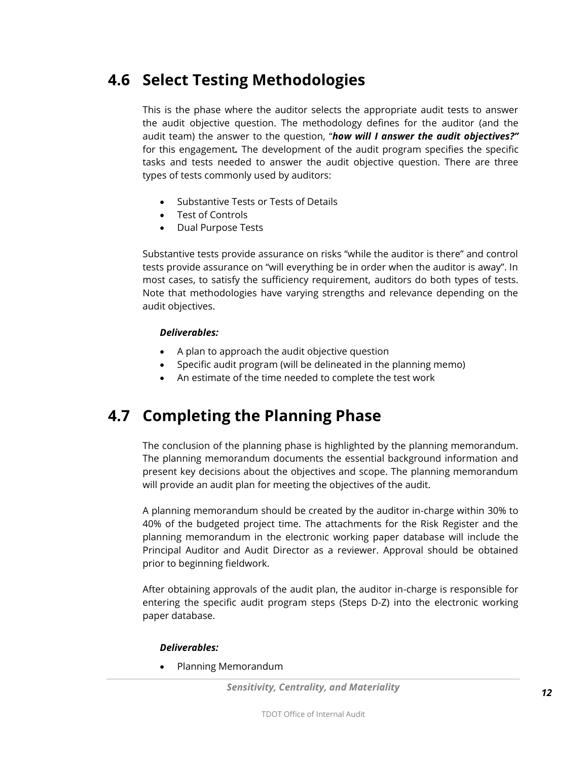### <span id="page-11-0"></span>**4.6 Select Testing Methodologies**

This is the phase where the auditor selects the appropriate audit tests to answer the audit objective question. The methodology defines for the auditor (and the audit team) the answer to the question, "*how will I answer the audit objectives?"* for this engagement*.* The development of the audit program specifies the specific tasks and tests needed to answer the audit objective question. There are three types of tests commonly used by auditors:

- Substantive Tests or Tests of Details
- Test of Controls
- Dual Purpose Tests

Substantive tests provide assurance on risks "while the auditor is there" and control tests provide assurance on "will everything be in order when the auditor is away". In most cases, to satisfy the sufficiency requirement, auditors do both types of tests. Note that methodologies have varying strengths and relevance depending on the audit objectives.

### *Deliverables:*

- A plan to approach the audit objective question
- Specific audit program (will be delineated in the planning memo)
- An estimate of the time needed to complete the test work

### <span id="page-11-1"></span>**4.7 Completing the Planning Phase**

The conclusion of the planning phase is highlighted by the planning memorandum. The planning memorandum documents the essential background information and present key decisions about the objectives and scope. The planning memorandum will provide an audit plan for meeting the objectives of the audit.

A planning memorandum should be created by the auditor in-charge within 30% to 40% of the budgeted project time. The attachments for the Risk Register and the planning memorandum in the electronic working paper database will include the Principal Auditor and Audit Director as a reviewer. Approval should be obtained prior to beginning fieldwork.

After obtaining approvals of the audit plan, the auditor in-charge is responsible for entering the specific audit program steps (Steps D-Z) into the electronic working paper database.

#### *Deliverables:*

Planning Memorandum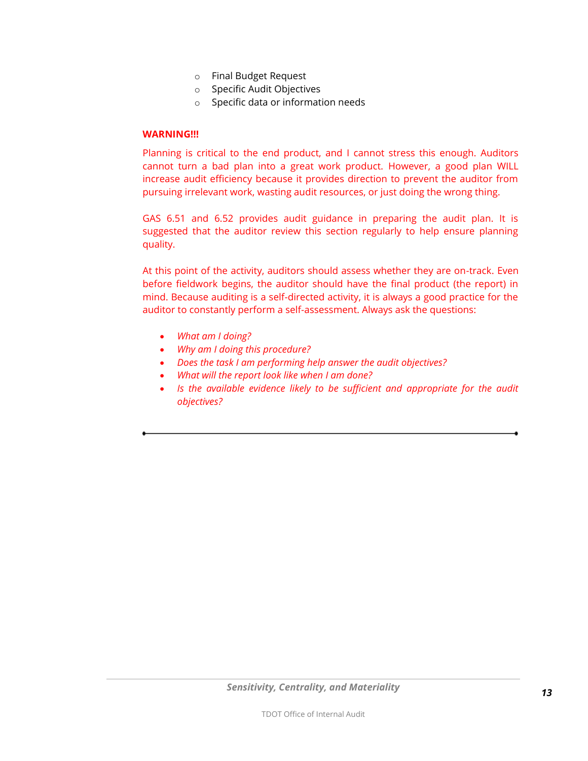- o Final Budget Request
- o Specific Audit Objectives
- o Specific data or information needs

#### **WARNING!!!**

Planning is critical to the end product, and I cannot stress this enough. Auditors cannot turn a bad plan into a great work product. However, a good plan WILL increase audit efficiency because it provides direction to prevent the auditor from pursuing irrelevant work, wasting audit resources, or just doing the wrong thing.

GAS 6.51 and 6.52 provides audit guidance in preparing the audit plan. It is suggested that the auditor review this section regularly to help ensure planning quality.

At this point of the activity, auditors should assess whether they are on-track. Even before fieldwork begins, the auditor should have the final product (the report) in mind. Because auditing is a self-directed activity, it is always a good practice for the auditor to constantly perform a self-assessment. Always ask the questions:

- *What am I doing?*
- *Why am I doing this procedure?*
- *Does the task I am performing help answer the audit objectives?*
- *What will the report look like when I am done?*
- Is the available evidence likely to be sufficient and appropriate for the audit *objectives?*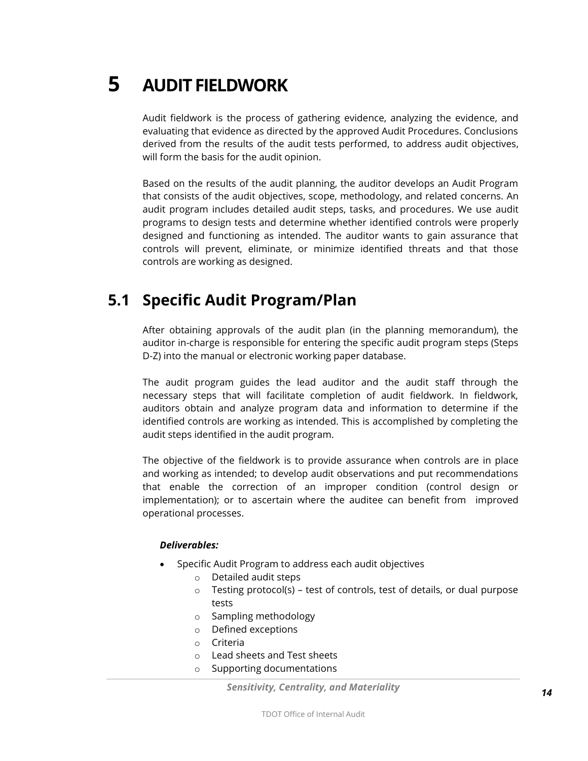<span id="page-13-0"></span>**5 AUDIT FIELDWORK**

Audit fieldwork is the process of gathering evidence, analyzing the evidence, and evaluating that evidence as directed by the approved Audit Procedures. Conclusions derived from the results of the audit tests performed, to address audit objectives, will form the basis for the audit opinion.

Based on the results of the audit planning, the auditor develops an Audit Program that consists of the audit objectives, scope, methodology, and related concerns. An audit program includes detailed audit steps, tasks, and procedures. We use audit programs to design tests and determine whether identified controls were properly designed and functioning as intended. The auditor wants to gain assurance that controls will prevent, eliminate, or minimize identified threats and that those controls are working as designed.

### <span id="page-13-1"></span>**5.1 Specific Audit Program/Plan**

After obtaining approvals of the audit plan (in the planning memorandum), the auditor in-charge is responsible for entering the specific audit program steps (Steps D-Z) into the manual or electronic working paper database.

The audit program guides the lead auditor and the audit staff through the necessary steps that will facilitate completion of audit fieldwork. In fieldwork, auditors obtain and analyze program data and information to determine if the identified controls are working as intended. This is accomplished by completing the audit steps identified in the audit program.

The objective of the fieldwork is to provide assurance when controls are in place and working as intended; to develop audit observations and put recommendations that enable the correction of an improper condition (control design or implementation); or to ascertain where the auditee can benefit from improved operational processes.

#### *Deliverables:*

- Specific Audit Program to address each audit objectives
	- o Detailed audit steps
	- $\circ$  Testing protocol(s) test of controls, test of details, or dual purpose tests
	- o Sampling methodology
	- o Defined exceptions
	- o Criteria
	- o Lead sheets and Test sheets
	- o Supporting documentations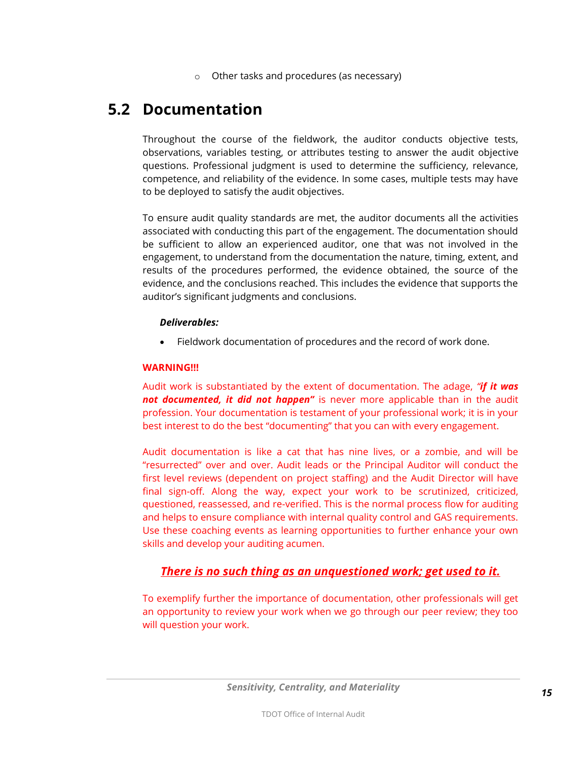Other tasks and procedures (as necessary)

### <span id="page-14-0"></span>**5.2 Documentation**

Throughout the course of the fieldwork, the auditor conducts objective tests, observations, variables testing, or attributes testing to answer the audit objective questions. Professional judgment is used to determine the sufficiency, relevance, competence, and reliability of the evidence. In some cases, multiple tests may have to be deployed to satisfy the audit objectives.

To ensure audit quality standards are met, the auditor documents all the activities associated with conducting this part of the engagement. The documentation should be sufficient to allow an experienced auditor, one that was not involved in the engagement, to understand from the documentation the nature, timing, extent, and results of the procedures performed, the evidence obtained, the source of the evidence, and the conclusions reached. This includes the evidence that supports the auditor's significant judgments and conclusions.

#### *Deliverables:*

Fieldwork documentation of procedures and the record of work done.

#### **WARNING!!!**

Audit work is substantiated by the extent of documentation. The adage, *"if it was not documented, it did not happen"* is never more applicable than in the audit profession. Your documentation is testament of your professional work; it is in your best interest to do the best "documenting" that you can with every engagement.

Audit documentation is like a cat that has nine lives, or a zombie, and will be "resurrected" over and over. Audit leads or the Principal Auditor will conduct the first level reviews (dependent on project staffing) and the Audit Director will have final sign-off. Along the way, expect your work to be scrutinized, criticized, questioned, reassessed, and re-verified. This is the normal process flow for auditing and helps to ensure compliance with internal quality control and GAS requirements. Use these coaching events as learning opportunities to further enhance your own skills and develop your auditing acumen.

### *There is no such thing as an unquestioned work; get used to it.*

To exemplify further the importance of documentation, other professionals will get an opportunity to review your work when we go through our peer review; they too will question your work.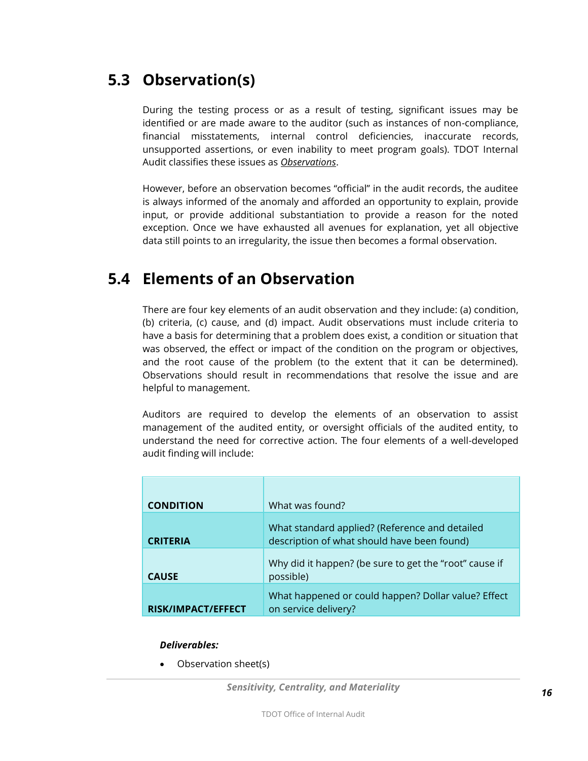### <span id="page-15-0"></span>**5.3 Observation(s)**

During the testing process or as a result of testing, significant issues may be identified or are made aware to the auditor (such as instances of non-compliance, financial misstatements, internal control deficiencies, inaccurate records, unsupported assertions, or even inability to meet program goals). TDOT Internal Audit classifies these issues as *Observations*.

However, before an observation becomes "official" in the audit records, the auditee is always informed of the anomaly and afforded an opportunity to explain, provide input, or provide additional substantiation to provide a reason for the noted exception. Once we have exhausted all avenues for explanation, yet all objective data still points to an irregularity, the issue then becomes a formal observation.

### <span id="page-15-1"></span>**5.4 Elements of an Observation**

There are four key elements of an audit observation and they include: (a) condition, (b) criteria, (c) cause, and (d) impact. Audit observations must include criteria to have a basis for determining that a problem does exist, a condition or situation that was observed, the effect or impact of the condition on the program or objectives, and the root cause of the problem (to the extent that it can be determined). Observations should result in recommendations that resolve the issue and are helpful to management.

Auditors are required to develop the elements of an observation to assist management of the audited entity, or oversight officials of the audited entity, to understand the need for corrective action. The four elements of a well-developed audit finding will include:

| <b>CONDITION</b>   | What was found?                                                                               |
|--------------------|-----------------------------------------------------------------------------------------------|
| <b>CRITERIA</b>    | What standard applied? (Reference and detailed<br>description of what should have been found) |
| <b>CAUSE</b>       | Why did it happen? (be sure to get the "root" cause if<br>possible)                           |
| RISK/IMPACT/EFFECT | What happened or could happen? Dollar value? Effect<br>on service delivery?                   |

#### *Deliverables:*

• Observation sheet(s)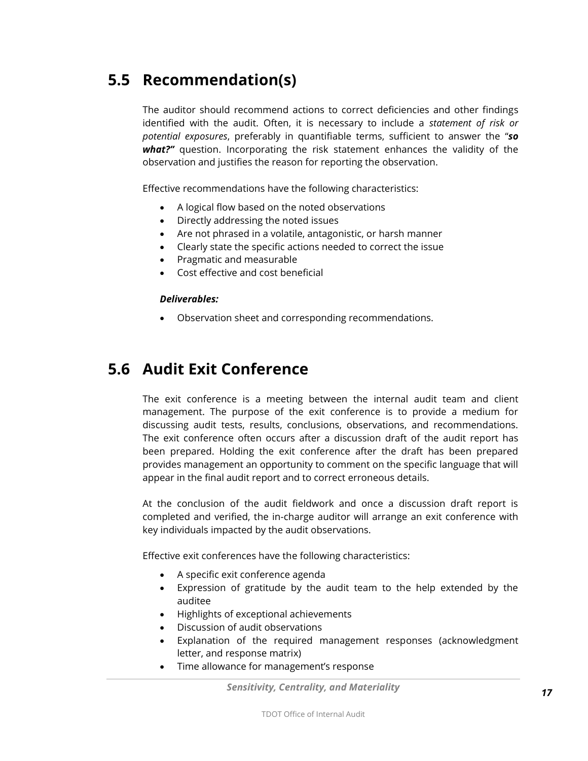### <span id="page-16-0"></span>**5.5 Recommendation(s)**

The auditor should recommend actions to correct deficiencies and other findings identified with the audit. Often, it is necessary to include a *statement of risk or potential exposures*, preferably in quantifiable terms, sufficient to answer the "*so what?"* question. Incorporating the risk statement enhances the validity of the observation and justifies the reason for reporting the observation.

Effective recommendations have the following characteristics:

- A logical flow based on the noted observations
- Directly addressing the noted issues
- Are not phrased in a volatile, antagonistic, or harsh manner
- Clearly state the specific actions needed to correct the issue
- Pragmatic and measurable
- Cost effective and cost beneficial

#### *Deliverables:*

Observation sheet and corresponding recommendations.

### <span id="page-16-1"></span>**5.6 Audit Exit Conference**

The exit conference is a meeting between the internal audit team and client management. The purpose of the exit conference is to provide a medium for discussing audit tests, results, conclusions, observations, and recommendations. The exit conference often occurs after a discussion draft of the audit report has been prepared. Holding the exit conference after the draft has been prepared provides management an opportunity to comment on the specific language that will appear in the final audit report and to correct erroneous details.

At the conclusion of the audit fieldwork and once a discussion draft report is completed and verified, the in-charge auditor will arrange an exit conference with key individuals impacted by the audit observations.

Effective exit conferences have the following characteristics:

- A specific exit conference agenda
- Expression of gratitude by the audit team to the help extended by the auditee
- Highlights of exceptional achievements
- Discussion of audit observations
- Explanation of the required management responses (acknowledgment letter, and response matrix)
- Time allowance for management's response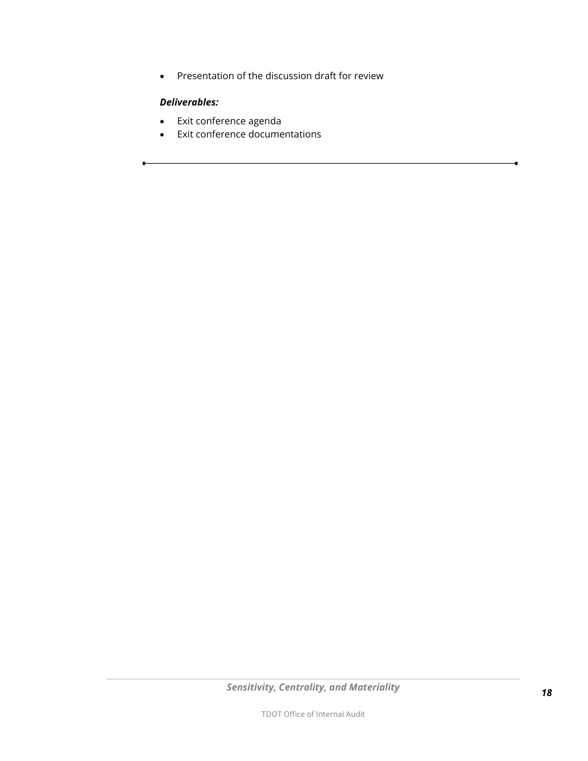Presentation of the discussion draft for review

### *Deliverables:*

- Exit conference agenda
- <span id="page-17-0"></span>• Exit conference documentations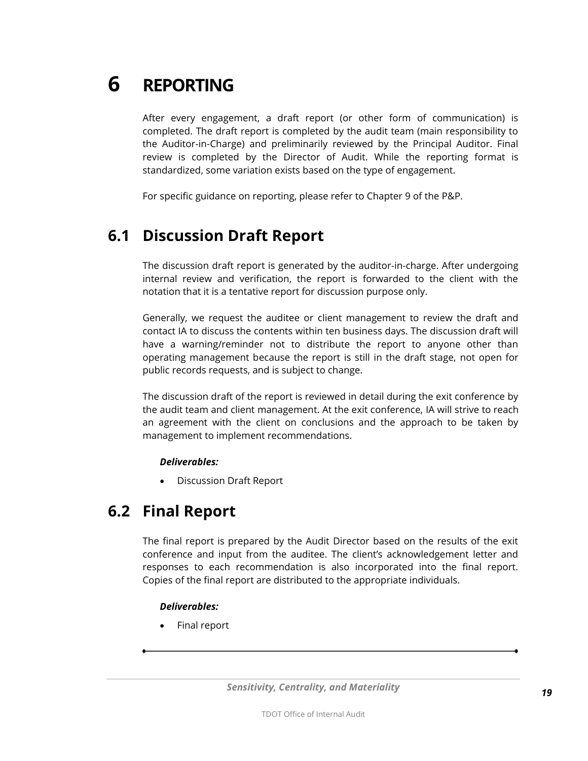## **6 REPORTING**

After every engagement, a draft report (or other form of communication) is completed. The draft report is completed by the audit team (main responsibility to the Auditor-in-Charge) and preliminarily reviewed by the Principal Auditor. Final review is completed by the Director of Audit. While the reporting format is standardized, some variation exists based on the type of engagement.

For specific guidance on reporting, please refer to Chapter 9 of the P&P.

### <span id="page-18-0"></span>**6.1 Discussion Draft Report**

The discussion draft report is generated by the auditor-in-charge. After undergoing internal review and verification, the report is forwarded to the client with the notation that it is a tentative report for discussion purpose only.

Generally, we request the auditee or client management to review the draft and contact IA to discuss the contents within ten business days. The discussion draft will have a warning/reminder not to distribute the report to anyone other than operating management because the report is still in the draft stage, not open for public records requests, and is subject to change.

The discussion draft of the report is reviewed in detail during the exit conference by the audit team and client management. At the exit conference, IA will strive to reach an agreement with the client on conclusions and the approach to be taken by management to implement recommendations.

#### *Deliverables:*

Discussion Draft Report

### <span id="page-18-1"></span>**6.2 Final Report**

The final report is prepared by the Audit Director based on the results of the exit conference and input from the auditee. The client's acknowledgement letter and responses to each recommendation is also incorporated into the final report. Copies of the final report are distributed to the appropriate individuals.

### *Deliverables:*

Final report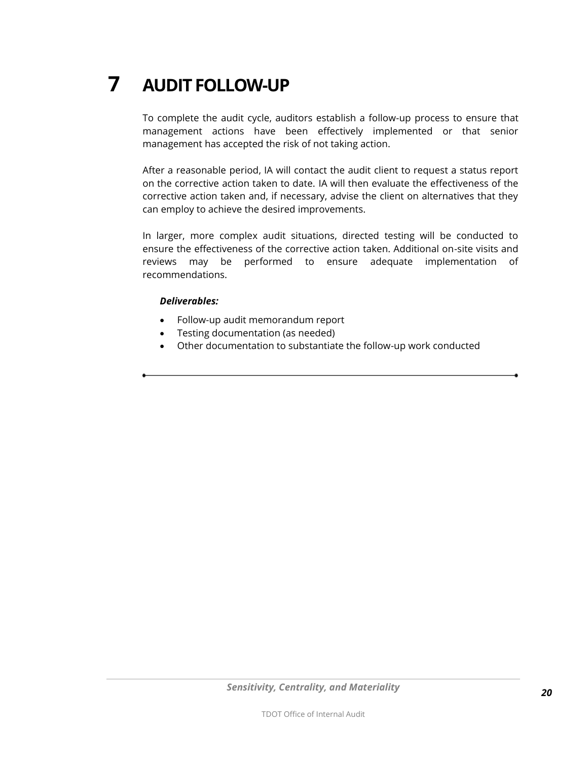## <span id="page-19-0"></span>**7 AUDIT FOLLOW-UP**

To complete the audit cycle, auditors establish a follow-up process to ensure that management actions have been effectively implemented or that senior management has accepted the risk of not taking action.

After a reasonable period, IA will contact the audit client to request a status report on the corrective action taken to date. IA will then evaluate the effectiveness of the corrective action taken and, if necessary, advise the client on alternatives that they can employ to achieve the desired improvements.

In larger, more complex audit situations, directed testing will be conducted to ensure the effectiveness of the corrective action taken. Additional on-site visits and reviews may be performed to ensure adequate implementation of recommendations.

#### *Deliverables:*

- Follow-up audit memorandum report
- Testing documentation (as needed)
- Other documentation to substantiate the follow-up work conducted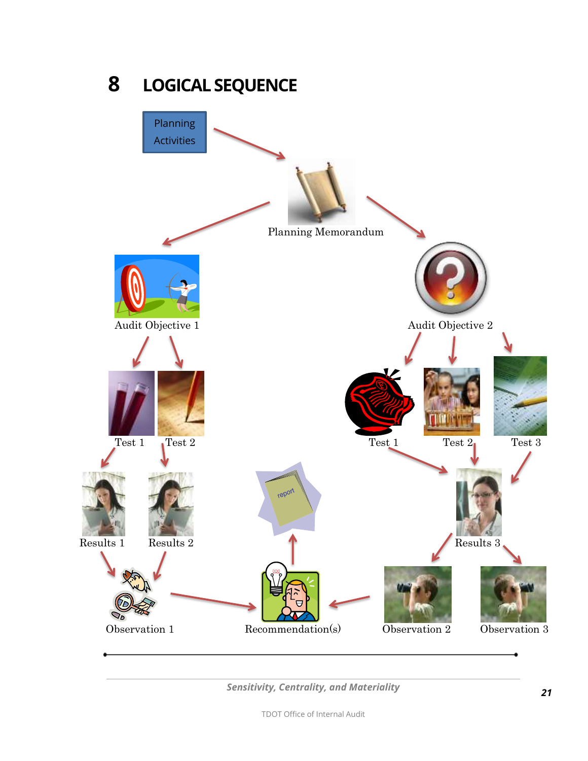<span id="page-20-0"></span>

<span id="page-20-1"></span>*Sensitivity, Centrality, and Materiality*